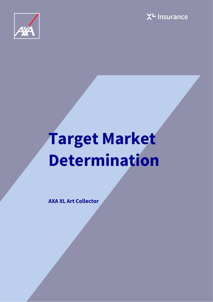



# **Target Market Determination**

**AXA XL Art Collector**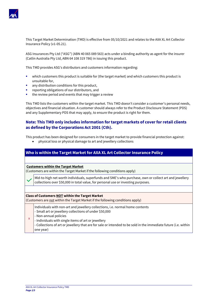

This Target Market Determination (TMD) is effective from 05/10/2021 and relates to the AXA XL Art Collector Insurance Policy (v1-05.21).

ASG Insurances Pty Ltd ("ASG") (ABN 40 065 089 563) acts under a binding authority as agent for the insurer (Catlin Australia Pty Ltd, ABN 64 108 319 786) in issuing this product.

This TMD provides ASG's distributors and customers information regarding:

- which customers this product is suitable for (the target market) and which customers this product is unsuitable for,
- any distribution conditions for this product.
- reporting obligations of our distributors, and
- the review period and events that may trigger a review

This TMD lists the customers within the target market. This TMD doesn't consider a customer's personal needs, objectives and financial situation. A customer should always refer to the Product Disclosure Statement (PDS) and any Supplementary PDS that may apply, to ensure the product is right for them.

# **Note: This TMD only includes information for target markets of cover for retail clients as defined by the Corporations Act 2001 (Cth).**

This product has been designed for consumers in the target market to provide financial protection against:

• physical loss or physical damage to art and jewellery collections

# **Who is within the Target Market for AXA XL Art Collector Insurance Policy**

#### **Customers within the Target Market**

(Customers are within the Target Market if the following conditions apply)

Mid-to-high net worth individuals, superfunds and SME's who purchase, own or collect art and jewellery collections over \$50,000 in total value, for personal use or investing purposes.

#### **Class of Customers NOT within the Target Market**

(Customers are not within the Target Market if the following conditions apply)

- Individuals with non-art and jewellery collections, i.e. normal home contents
- Small art or jewellery collections of under \$50,000
- x - Non-annual policies
	- Individuals with single items of art or jewellery
	- Collections of art or jewellery that are for sale or intended to be sold in the immediate future (i.e. within one year)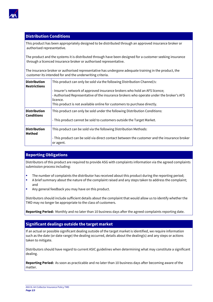

# **Distribution Conditions**

This product has been appropriately designed to be distributed through an approved insurance broker or authorised representative.

The product and the systems it is distributed through have been designed for a customer seeking insurance through a licenced insurance broker or authorised representative.

The insurance broker or authorised representative has undergone adequate training in the product, the customer its intended for and the underwriting criteria.

| <b>Distribution</b><br><b>Restrictions</b> | This product can only be sold via the following Distribution Channel/s:                                                                                                                                                                                       |
|--------------------------------------------|---------------------------------------------------------------------------------------------------------------------------------------------------------------------------------------------------------------------------------------------------------------|
|                                            | - Insurer's network of approved insurance brokers who hold an AFS licence;<br>- Authorised Representative of the insurance brokers who operate under the broker's AFS<br>licence.<br>This product is not available online for customers to purchase directly. |
| <b>Distribution</b><br><b>Conditions</b>   | This product can only be sold under the following Distribution Conditions:<br>- This product cannot be sold to customers outside the Target Market.                                                                                                           |
| <b>Distribution</b><br><b>Method</b>       | This product can be sold via the following Distribution Methods:<br>- This product can be sold via direct contact between the customer and the insurance broker<br>or agent.                                                                                  |

# **Reporting Obligations**

Distributors of this product are required to provide ASG with complaints information via the agreed complaints submission process including:

- The number of complaints the distributor has received about this product during the reporting period;
- A brief summary about the nature of the complaint raised and any steps taken to address the complaint; and
- Any general feedback you may have on this product.

Distributors should include sufficient details about the complaint that would allow us to identify whether the TMD may no longer be appropriate to the class of customers.

**Reporting Period:** Monthly and no later than 10 business days after the agreed complaints reporting date.

# **Significant dealings outside the target market**

If an actual or possible significant dealing outside of the target market is identified, we require information such as the date (or date range) the dealing occurred, details about the dealing(s) and any steps or actions taken to mitigate.

Distributors should have regard to current ASIC guidelines when determining what may constitute a significant dealing.

**Reporting Period:** As soon as practicable and no later than 10 business days after becoming aware of the matter.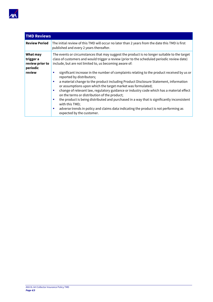

| <b>TMD Reviews</b>                                             |                                                                                                                                                                                                                                                                                                                                                                                                                                                                                                                                                                                                                                                                                                                                                                                                                                                                                                                                    |
|----------------------------------------------------------------|------------------------------------------------------------------------------------------------------------------------------------------------------------------------------------------------------------------------------------------------------------------------------------------------------------------------------------------------------------------------------------------------------------------------------------------------------------------------------------------------------------------------------------------------------------------------------------------------------------------------------------------------------------------------------------------------------------------------------------------------------------------------------------------------------------------------------------------------------------------------------------------------------------------------------------|
| <b>Review Period</b>                                           | The initial review of this TMD will occur no later than 2 years from the date this TMD is first<br>published and every 2 years thereafter.                                                                                                                                                                                                                                                                                                                                                                                                                                                                                                                                                                                                                                                                                                                                                                                         |
| What may<br>trigger a<br>review prior to<br>periodic<br>review | The events or circumstances that may suggest the product is no longer suitable to the target<br>class of customers and would trigger a review (prior to the scheduled periodic review date)<br>include, but are not limited to, us becoming aware of:<br>significant increase in the number of complaints relating to the product received by us or<br>reported by distributors;<br>a material change to the product including Product Disclosure Statement, information<br>п<br>or assumptions upon which the target market was formulated;<br>change of relevant law, regulatory guidance or industry code which has a material effect<br>on the terms or distribution of the product;<br>the product is being distributed and purchased in a way that is significantly inconsistent<br>with this TMD;<br>adverse trends in policy and claims data indicating the product is not performing as<br>ш<br>expected by the customer. |